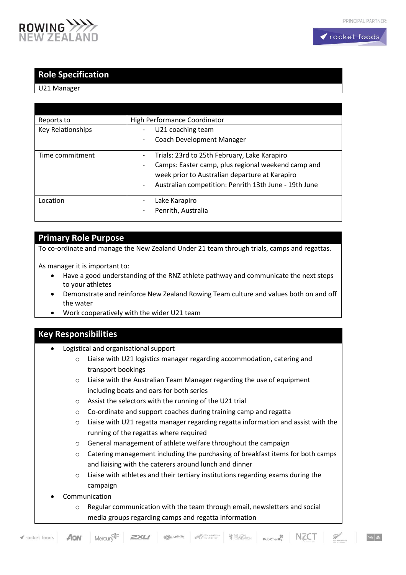



## **Role Specification**

#### U21 Manager

| Reports to        | High Performance Coordinator                                                      |
|-------------------|-----------------------------------------------------------------------------------|
| Key Relationships | U21 coaching team                                                                 |
|                   | Coach Development Manager                                                         |
|                   |                                                                                   |
| Time commitment   | Trials: 23rd to 25th February, Lake Karapiro                                      |
|                   | Camps: Easter camp, plus regional weekend camp and<br>۰                           |
|                   | week prior to Australian departure at Karapiro                                    |
|                   | Australian competition: Penrith 13th June - 19th June<br>$\overline{\phantom{m}}$ |
| Location          | Lake Karapiro                                                                     |
|                   |                                                                                   |
|                   | Penrith, Australia<br>۰                                                           |
|                   |                                                                                   |

## **Primary Role Purpose**

To co-ordinate and manage the New Zealand Under 21 team through trials, camps and regattas.

As manager it is important to:

- Have a good understanding of the RNZ athlete pathway and communicate the next steps to your athletes
- Demonstrate and reinforce New Zealand Rowing Team culture and values both on and off the water
- Work cooperatively with the wider U21 team

#### **Key Responsibilities**

- Logistical and organisational support
	- o Liaise with U21 logistics manager regarding accommodation, catering and transport bookings
	- o Liaise with the Australian Team Manager regarding the use of equipment including boats and oars for both series
	- o Assist the selectors with the running of the U21 trial
	- o Co-ordinate and support coaches during training camp and regatta
	- o Liaise with U21 regatta manager regarding regatta information and assist with the running of the regattas where required
	- o General management of athlete welfare throughout the campaign
	- $\circ$  Catering management including the purchasing of breakfast items for both camps and liaising with the caterers around lunch and dinner
	- o Liaise with athletes and their tertiary institutions regarding exams during the campaign
- **Communication** 
	- o Regular communication with the team through email, newsletters and social media groups regarding camps and regatta information